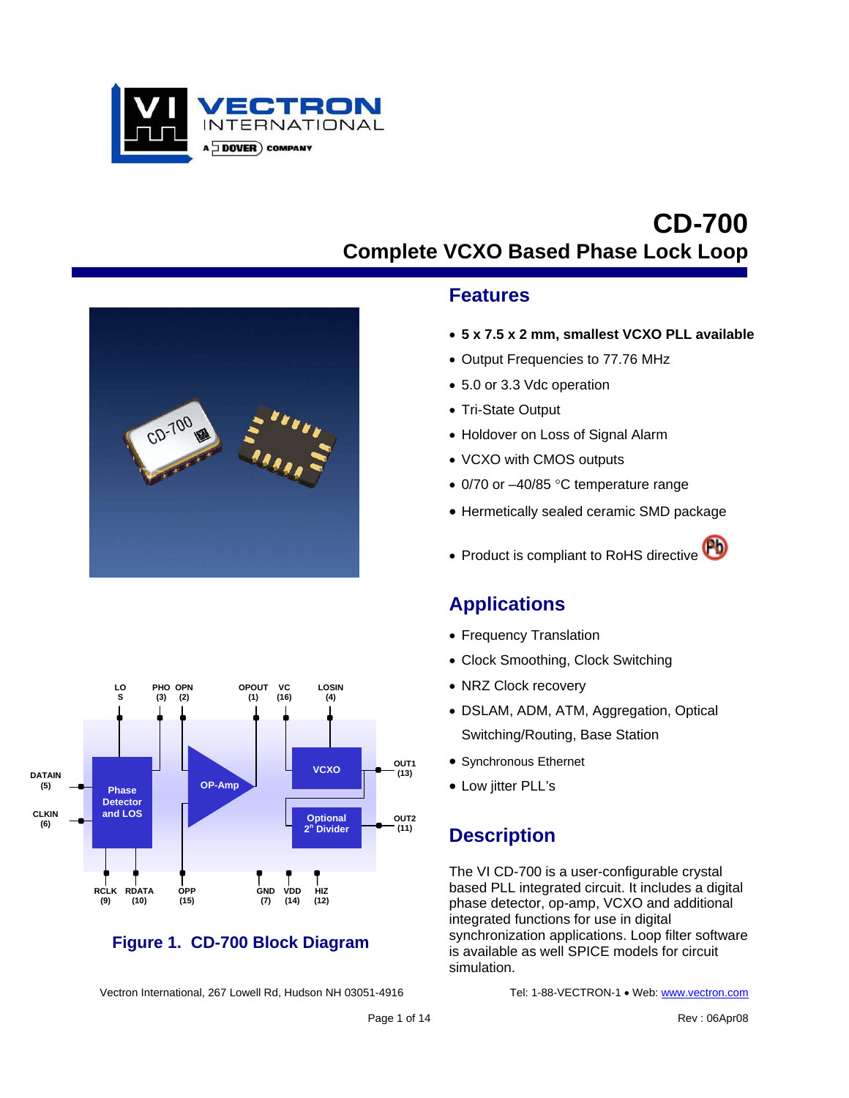

# **CD-700 Complete VCXO Based Phase Lock Loop**





### **Figure 1. CD-700 Block Diagram**

Vectron International, 267 Lowell Rd, Hudson NH 03051-4916 Tel: 1-88-VECTRON-1 · Web: www.vectron.com

#### **Features**

- **5 x 7.5 x 2 mm, smallest VCXO PLL available**
- Output Frequencies to 77.76 MHz
- 5.0 or 3.3 Vdc operation
- Tri-State Output
- Holdover on Loss of Signal Alarm
- VCXO with CMOS outputs
- 0/70 or -40/85 °C temperature range
- Hermetically sealed ceramic SMD package
- Product is compliant to RoHS directive

## **Applications**

- Frequency Translation
- Clock Smoothing, Clock Switching
- NRZ Clock recovery
- DSLAM, ADM, ATM, Aggregation, Optical Switching/Routing, Base Station
- Synchronous Ethernet
- Low jitter PLL's

# **Description**

The VI CD-700 is a user-configurable crystal based PLL integrated circuit. It includes a digital phase detector, op-amp, VCXO and additional integrated functions for use in digital synchronization applications. Loop filter software is available as well SPICE models for circuit simulation.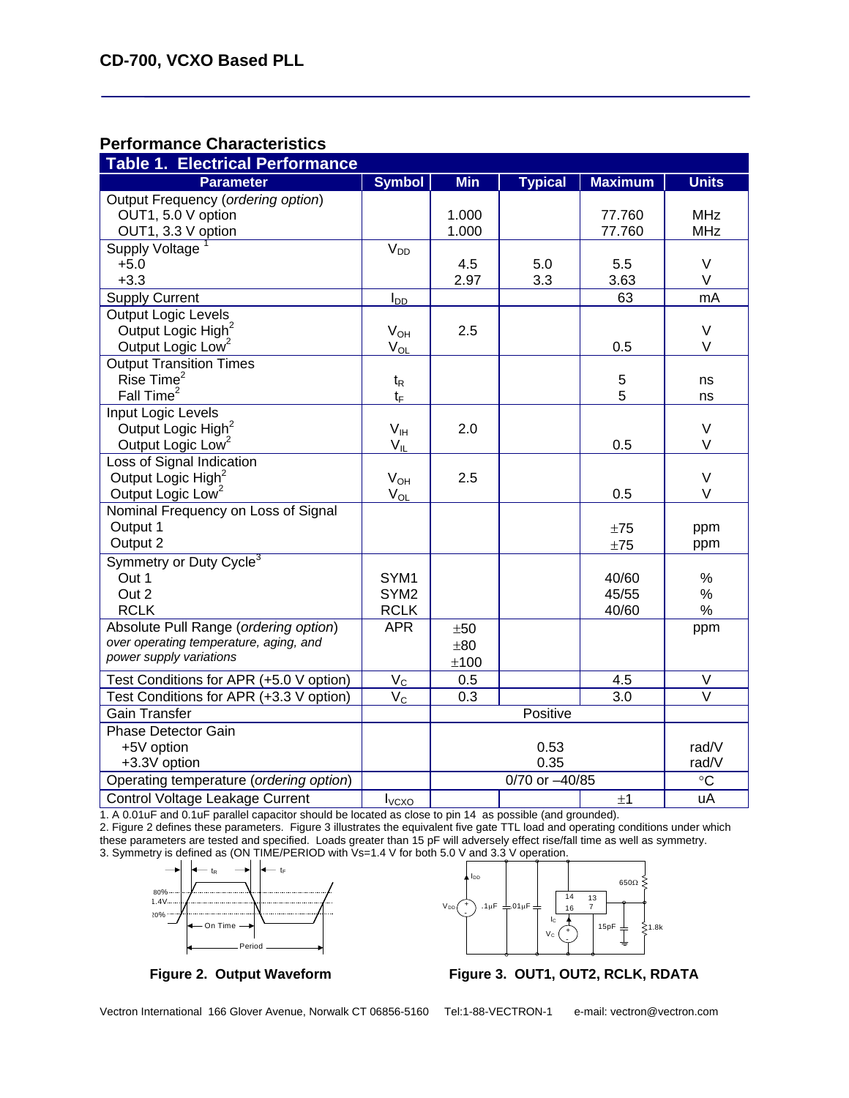#### **Performance Characteristics**

| <b>Table 1. Electrical Performance</b>  |                          |            |                |                |                   |  |  |  |
|-----------------------------------------|--------------------------|------------|----------------|----------------|-------------------|--|--|--|
| <b>Parameter</b>                        | <b>Symbol</b>            | <b>Min</b> | <b>Typical</b> | <b>Maximum</b> | <b>Units</b>      |  |  |  |
| Output Frequency (ordering option)      |                          |            |                |                |                   |  |  |  |
| OUT1, 5.0 V option                      |                          | 1.000      |                | 77.760         | <b>MHz</b>        |  |  |  |
| OUT1, 3.3 V option                      |                          | 1.000      |                | 77.760         | <b>MHz</b>        |  |  |  |
| <b>Supply Voltage</b>                   | V <sub>DD</sub>          |            |                |                |                   |  |  |  |
| $+5.0$                                  |                          | 4.5        | 5.0            | 5.5            | $\vee$            |  |  |  |
| $+3.3$                                  |                          | 2.97       | 3.3            | 3.63           | $\vee$            |  |  |  |
| <b>Supply Current</b>                   | $I_{DD}$                 |            |                | 63             | mA                |  |  |  |
| Output Logic Levels                     |                          |            |                |                |                   |  |  |  |
| Output Logic High <sup>2</sup>          | $V_{OH}$                 | 2.5        |                |                | $\vee$            |  |  |  |
| Output Logic Low <sup>2</sup>           | $V_{OL}$                 |            |                | 0.5            | $\vee$            |  |  |  |
| <b>Output Transition Times</b>          |                          |            |                |                |                   |  |  |  |
| Rise Time <sup>2</sup>                  | $t_{R}$                  |            |                | 5              | ns                |  |  |  |
| Fall Time <sup>2</sup>                  | $t_{F}$                  |            |                | 5              | ns                |  |  |  |
| Input Logic Levels                      |                          |            |                |                |                   |  |  |  |
| Output Logic High <sup>2</sup>          | $V_{IH}$                 | 2.0        |                |                | V                 |  |  |  |
| Output Logic Low <sup>2</sup>           | $V_{IL}$                 |            |                | 0.5            | V                 |  |  |  |
| Loss of Signal Indication               |                          |            |                |                |                   |  |  |  |
| Output Logic High <sup>2</sup>          | $V_{OH}$                 | 2.5        |                |                | $\vee$            |  |  |  |
| Output Logic Low <sup>2</sup>           | $V_{OL}$                 |            |                | 0.5            | V                 |  |  |  |
| Nominal Frequency on Loss of Signal     |                          |            |                |                |                   |  |  |  |
| Output 1                                |                          |            |                | ±75            | ppm               |  |  |  |
| Output 2                                |                          |            |                | ±75            | ppm               |  |  |  |
| Symmetry or Duty Cycle <sup>3</sup>     |                          |            |                |                |                   |  |  |  |
| Out 1                                   | SYM <sub>1</sub>         |            |                | 40/60          | $\%$              |  |  |  |
| Out 2                                   | SYM <sub>2</sub>         |            |                | 45/55          | $\%$              |  |  |  |
| <b>RCLK</b>                             | <b>RCLK</b>              |            |                | 40/60          | $\%$              |  |  |  |
| Absolute Pull Range (ordering option)   | <b>APR</b>               | ±50        |                |                | ppm               |  |  |  |
| over operating temperature, aging, and  |                          | ±80        |                |                |                   |  |  |  |
| power supply variations                 |                          | ±100       |                |                |                   |  |  |  |
| Test Conditions for APR (+5.0 V option) | $V_{C}$                  | 0.5        |                | 4.5            | $\vee$            |  |  |  |
| Test Conditions for APR (+3.3 V option) | $V_{C}$                  | 0.3        |                | 3.0            | $\overline{\vee}$ |  |  |  |
| <b>Gain Transfer</b>                    |                          |            | Positive       |                |                   |  |  |  |
| <b>Phase Detector Gain</b>              |                          |            |                |                |                   |  |  |  |
| +5V option                              |                          |            | 0.53           |                | rad/V             |  |  |  |
| +3.3V option                            |                          |            | 0.35           |                | rad/V             |  |  |  |
| Operating temperature (ordering option) |                          |            | 0/70 or -40/85 |                | $\circ$ C         |  |  |  |
| Control Voltage Leakage Current         | <b>I</b> <sub>vcxo</sub> |            |                | ±1             | uA                |  |  |  |

1. A 0.01uF and 0.1uF parallel capacitor should be located as close to pin 14 as possible (and grounded).

2. Figure 2 defines these parameters. Figure 3 illustrates the equivalent five gate TTL load and operating conditions under which these parameters are tested and specified. Loads greater than 15 pF will adversely effect rise/fall time as well as symmetry. 3. Symmetry is defined as (ON TIME/PERIOD with Vs=1.4 V for both 5.0 V and 3.3 V operation.





Figure 2. Output Waveform Figure 3. OUT1, OUT2, RCLK, RDATA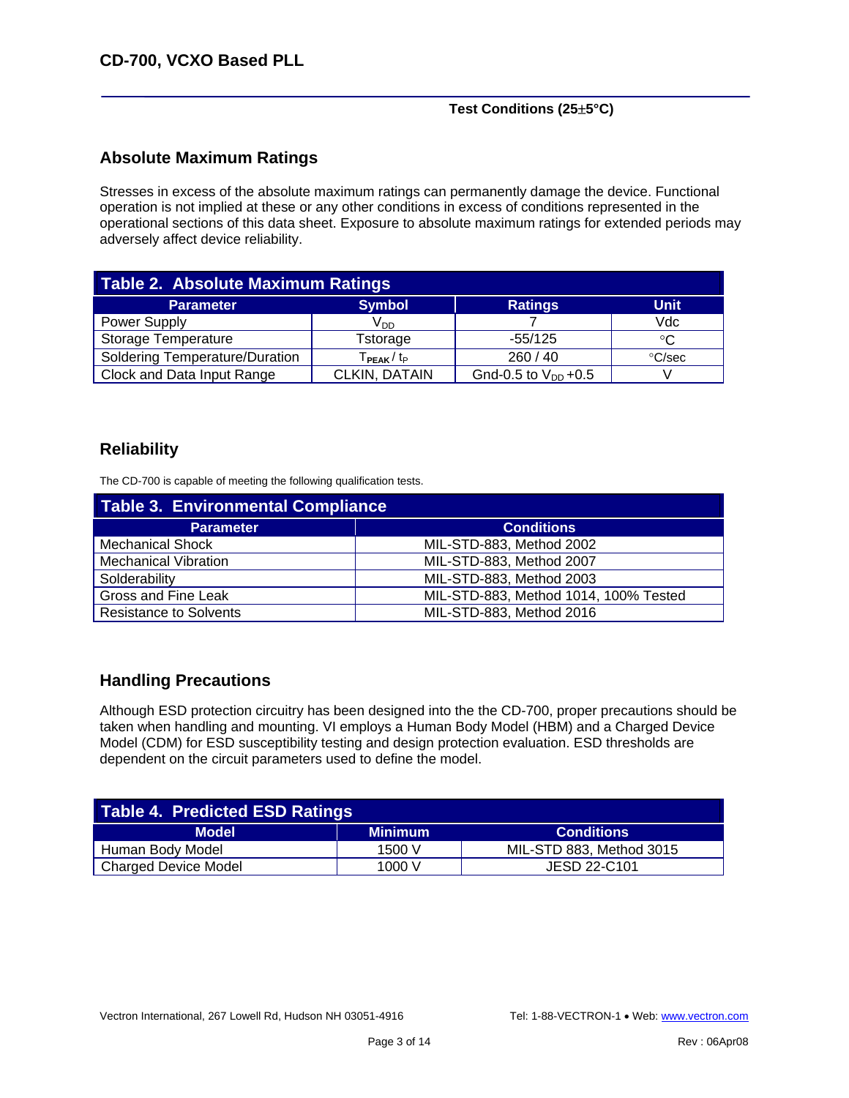#### **Test Conditions (25**±**5°C)**

#### **Absolute Maximum Ratings**

Stresses in excess of the absolute maximum ratings can permanently damage the device. Functional operation is not implied at these or any other conditions in excess of conditions represented in the operational sections of this data sheet. Exposure to absolute maximum ratings for extended periods may adversely affect device reliability.

| Table 2. Absolute Maximum Ratings |                                    |                          |             |  |  |  |  |  |
|-----------------------------------|------------------------------------|--------------------------|-------------|--|--|--|--|--|
| <b>Parameter</b>                  | <b>Symbol</b>                      | <b>Ratings</b>           | <b>Unit</b> |  |  |  |  |  |
| Power Supply                      | $V_{DD}$                           |                          | Vdc         |  |  |  |  |  |
| Storage Temperature               | Tstorage                           | $-55/125$                | °C          |  |  |  |  |  |
| Soldering Temperature/Duration    | Т <sub>РЕАК</sub> / t <sub>P</sub> | 260/40                   | °C/sec      |  |  |  |  |  |
| Clock and Data Input Range        | CLKIN, DATAIN                      | Gnd-0.5 to $V_{DD}$ +0.5 |             |  |  |  |  |  |

#### **Reliability**

The CD-700 is capable of meeting the following qualification tests.

| <b>Table 3. Environmental Compliance</b> |                                       |  |  |  |  |  |
|------------------------------------------|---------------------------------------|--|--|--|--|--|
| <b>Parameter</b>                         | <b>Conditions</b>                     |  |  |  |  |  |
| <b>Mechanical Shock</b>                  | MIL-STD-883, Method 2002              |  |  |  |  |  |
| <b>Mechanical Vibration</b>              | MIL-STD-883, Method 2007              |  |  |  |  |  |
| Solderability                            | MIL-STD-883, Method 2003              |  |  |  |  |  |
| Gross and Fine Leak                      | MIL-STD-883, Method 1014, 100% Tested |  |  |  |  |  |
| <b>Resistance to Solvents</b>            | MIL-STD-883, Method 2016              |  |  |  |  |  |

#### **Handling Precautions**

Although ESD protection circuitry has been designed into the the CD-700, proper precautions should be taken when handling and mounting. VI employs a Human Body Model (HBM) and a Charged Device Model (CDM) for ESD susceptibility testing and design protection evaluation. ESD thresholds are dependent on the circuit parameters used to define the model.

| Table 4. Predicted ESD Ratings |                |                          |  |  |  |  |  |  |
|--------------------------------|----------------|--------------------------|--|--|--|--|--|--|
| <b>Model</b>                   | <b>Minimum</b> | <b>Conditions</b>        |  |  |  |  |  |  |
| Human Body Model               | 1500 V         | MIL-STD 883, Method 3015 |  |  |  |  |  |  |
| <b>Charged Device Model</b>    | 1000 V         | JESD 22-C101             |  |  |  |  |  |  |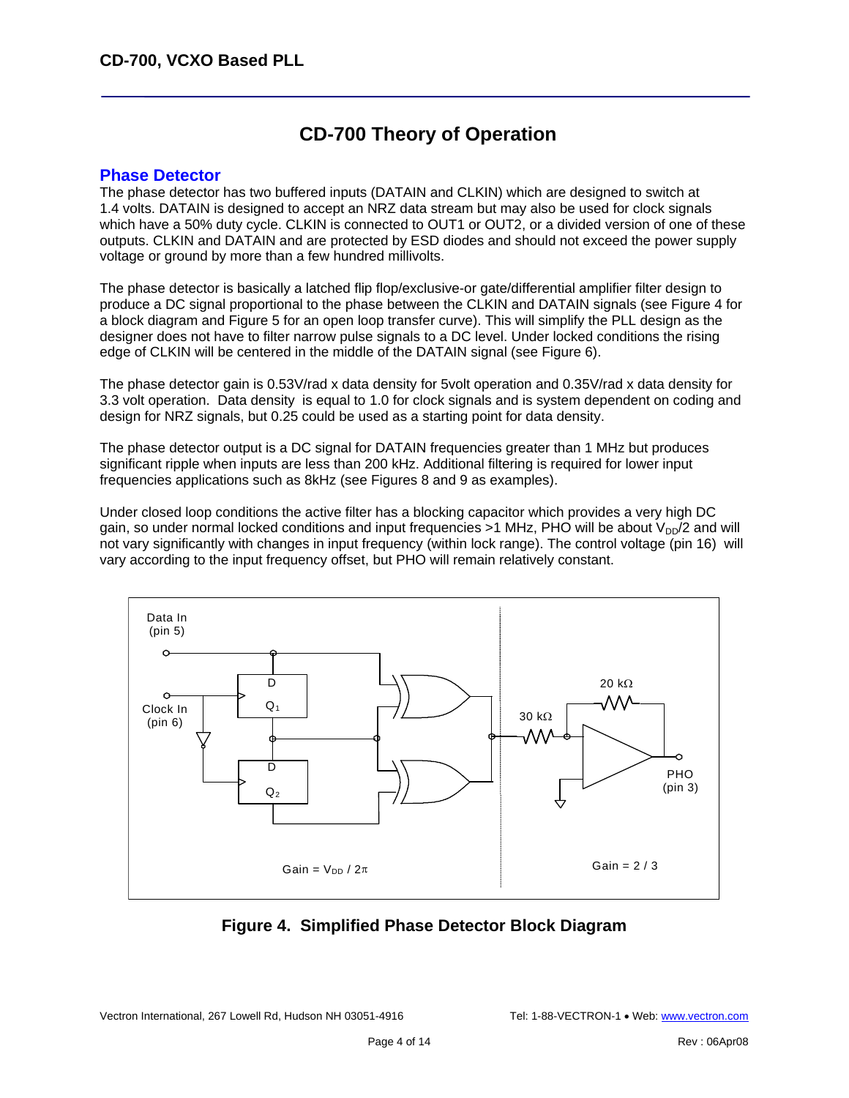# **CD-700 Theory of Operation**

#### **Phase Detector**

The phase detector has two buffered inputs (DATAIN and CLKIN) which are designed to switch at 1.4 volts. DATAIN is designed to accept an NRZ data stream but may also be used for clock signals which have a 50% duty cycle. CLKIN is connected to OUT1 or OUT2, or a divided version of one of these outputs. CLKIN and DATAIN and are protected by ESD diodes and should not exceed the power supply voltage or ground by more than a few hundred millivolts.

The phase detector is basically a latched flip flop/exclusive-or gate/differential amplifier filter design to produce a DC signal proportional to the phase between the CLKIN and DATAIN signals (see Figure 4 for a block diagram and Figure 5 for an open loop transfer curve). This will simplify the PLL design as the designer does not have to filter narrow pulse signals to a DC level. Under locked conditions the rising edge of CLKIN will be centered in the middle of the DATAIN signal (see Figure 6).

The phase detector gain is 0.53V/rad x data density for 5volt operation and 0.35V/rad x data density for 3.3 volt operation. Data density is equal to 1.0 for clock signals and is system dependent on coding and design for NRZ signals, but 0.25 could be used as a starting point for data density.

The phase detector output is a DC signal for DATAIN frequencies greater than 1 MHz but produces significant ripple when inputs are less than 200 kHz. Additional filtering is required for lower input frequencies applications such as 8kHz (see Figures 8 and 9 as examples).

Under closed loop conditions the active filter has a blocking capacitor which provides a very high DC gain, so under normal locked conditions and input frequencies  $>1$  MHz, PHO will be about  $V_{\text{DD}}/2$  and will not vary significantly with changes in input frequency (within lock range). The control voltage (pin 16) will vary according to the input frequency offset, but PHO will remain relatively constant.



#### **Figure 4. Simplified Phase Detector Block Diagram**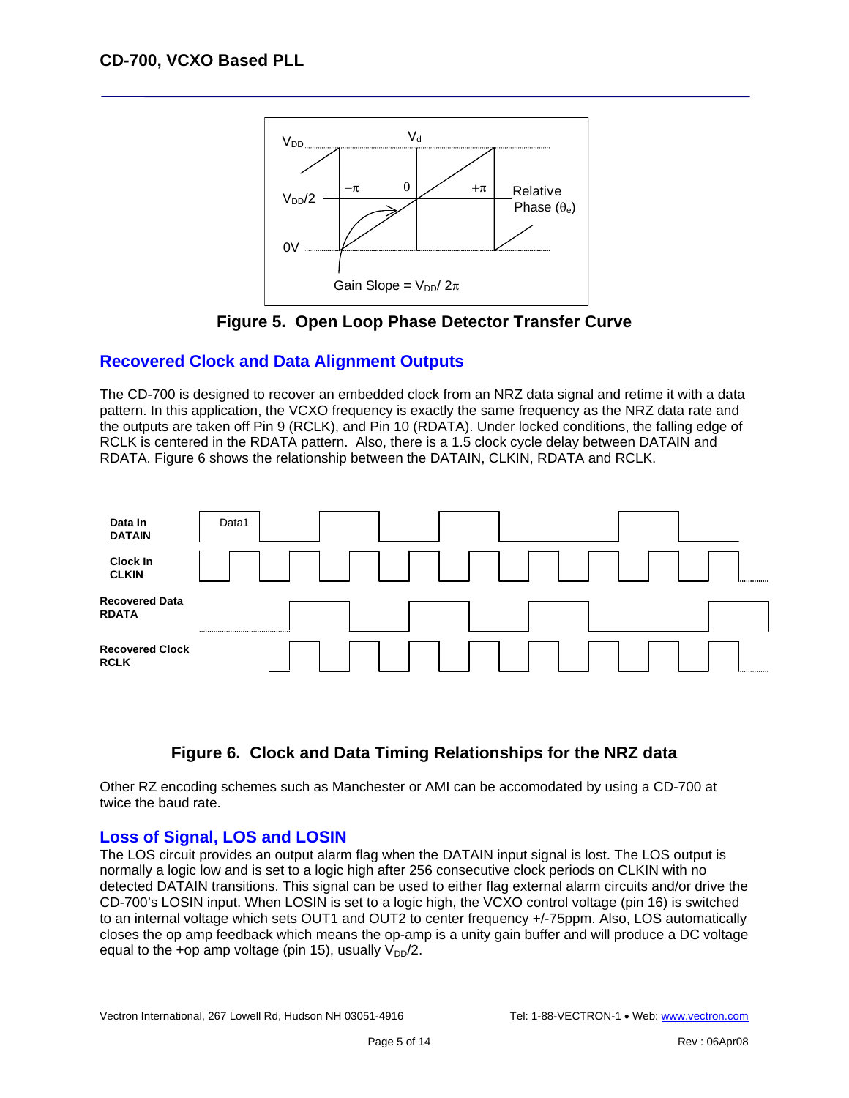



#### **Recovered Clock and Data Alignment Outputs**

The CD-700 is designed to recover an embedded clock from an NRZ data signal and retime it with a data pattern. In this application, the VCXO frequency is exactly the same frequency as the NRZ data rate and the outputs are taken off Pin 9 (RCLK), and Pin 10 (RDATA). Under locked conditions, the falling edge of RCLK is centered in the RDATA pattern. Also, there is a 1.5 clock cycle delay between DATAIN and RDATA. Figure 6 shows the relationship between the DATAIN, CLKIN, RDATA and RCLK.



### **Figure 6. Clock and Data Timing Relationships for the NRZ data**

Other RZ encoding schemes such as Manchester or AMI can be accomodated by using a CD-700 at twice the baud rate.

#### **Loss of Signal, LOS and LOSIN**

The LOS circuit provides an output alarm flag when the DATAIN input signal is lost. The LOS output is normally a logic low and is set to a logic high after 256 consecutive clock periods on CLKIN with no detected DATAIN transitions. This signal can be used to either flag external alarm circuits and/or drive the CD-700's LOSIN input. When LOSIN is set to a logic high, the VCXO control voltage (pin 16) is switched to an internal voltage which sets OUT1 and OUT2 to center frequency +/-75ppm. Also, LOS automatically closes the op amp feedback which means the op-amp is a unity gain buffer and will produce a DC voltage equal to the +op amp voltage (pin 15), usually  $V_{DD}/2$ .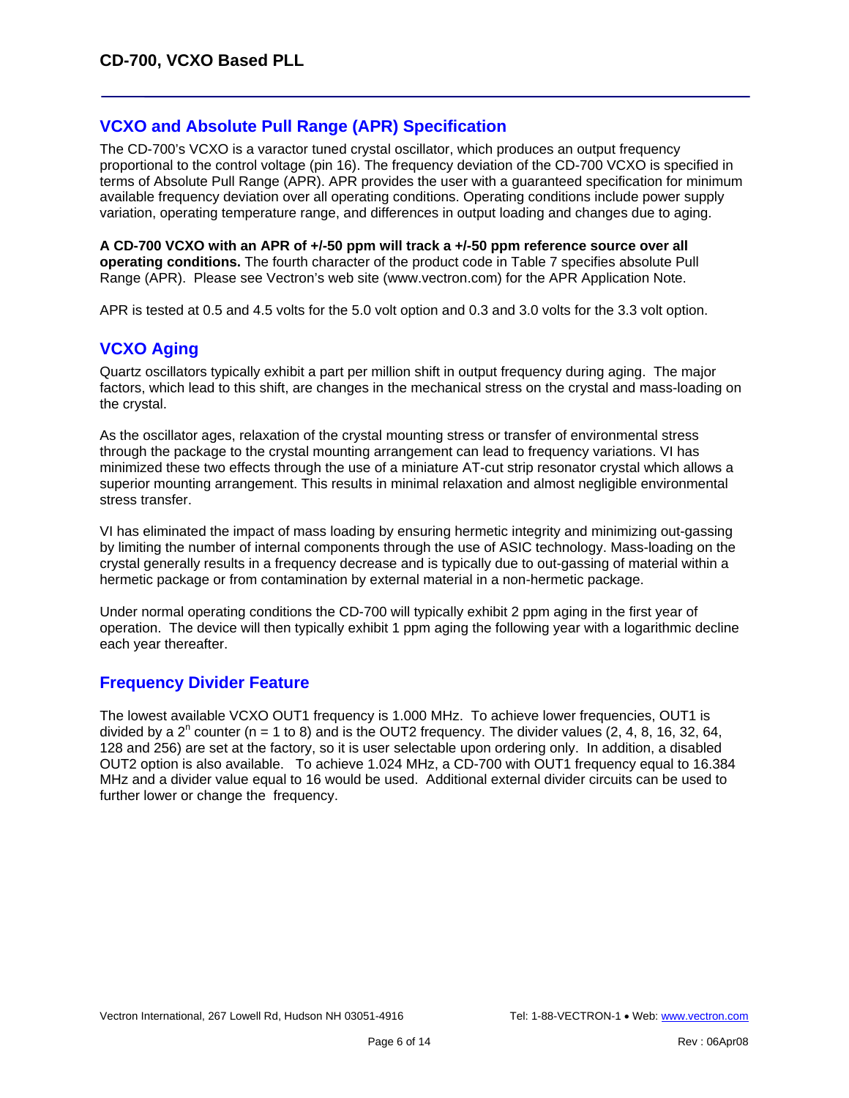#### **VCXO and Absolute Pull Range (APR) Specification**

The CD-700's VCXO is a varactor tuned crystal oscillator, which produces an output frequency proportional to the control voltage (pin 16). The frequency deviation of the CD-700 VCXO is specified in terms of Absolute Pull Range (APR). APR provides the user with a guaranteed specification for minimum available frequency deviation over all operating conditions. Operating conditions include power supply variation, operating temperature range, and differences in output loading and changes due to aging.

**A CD-700 VCXO with an APR of +/-50 ppm will track a +/-50 ppm reference source over all operating conditions.** The fourth character of the product code in Table 7 specifies absolute Pull Range (APR). Please see Vectron's web site (www.vectron.com) for the APR Application Note.

APR is tested at 0.5 and 4.5 volts for the 5.0 volt option and 0.3 and 3.0 volts for the 3.3 volt option.

#### **VCXO Aging**

Quartz oscillators typically exhibit a part per million shift in output frequency during aging. The major factors, which lead to this shift, are changes in the mechanical stress on the crystal and mass-loading on the crystal.

As the oscillator ages, relaxation of the crystal mounting stress or transfer of environmental stress through the package to the crystal mounting arrangement can lead to frequency variations. VI has minimized these two effects through the use of a miniature AT-cut strip resonator crystal which allows a superior mounting arrangement. This results in minimal relaxation and almost negligible environmental stress transfer.

VI has eliminated the impact of mass loading by ensuring hermetic integrity and minimizing out-gassing by limiting the number of internal components through the use of ASIC technology. Mass-loading on the crystal generally results in a frequency decrease and is typically due to out-gassing of material within a hermetic package or from contamination by external material in a non-hermetic package.

Under normal operating conditions the CD-700 will typically exhibit 2 ppm aging in the first year of operation. The device will then typically exhibit 1 ppm aging the following year with a logarithmic decline each year thereafter.

#### **Frequency Divider Feature**

The lowest available VCXO OUT1 frequency is 1.000 MHz. To achieve lower frequencies, OUT1 is divided by a 2<sup>n</sup> counter (n = 1 to 8) and is the OUT2 frequency. The divider values (2, 4, 8, 16, 32, 64, 128 and 256) are set at the factory, so it is user selectable upon ordering only. In addition, a disabled OUT2 option is also available. To achieve 1.024 MHz, a CD-700 with OUT1 frequency equal to 16.384 MHz and a divider value equal to 16 would be used. Additional external divider circuits can be used to further lower or change the frequency.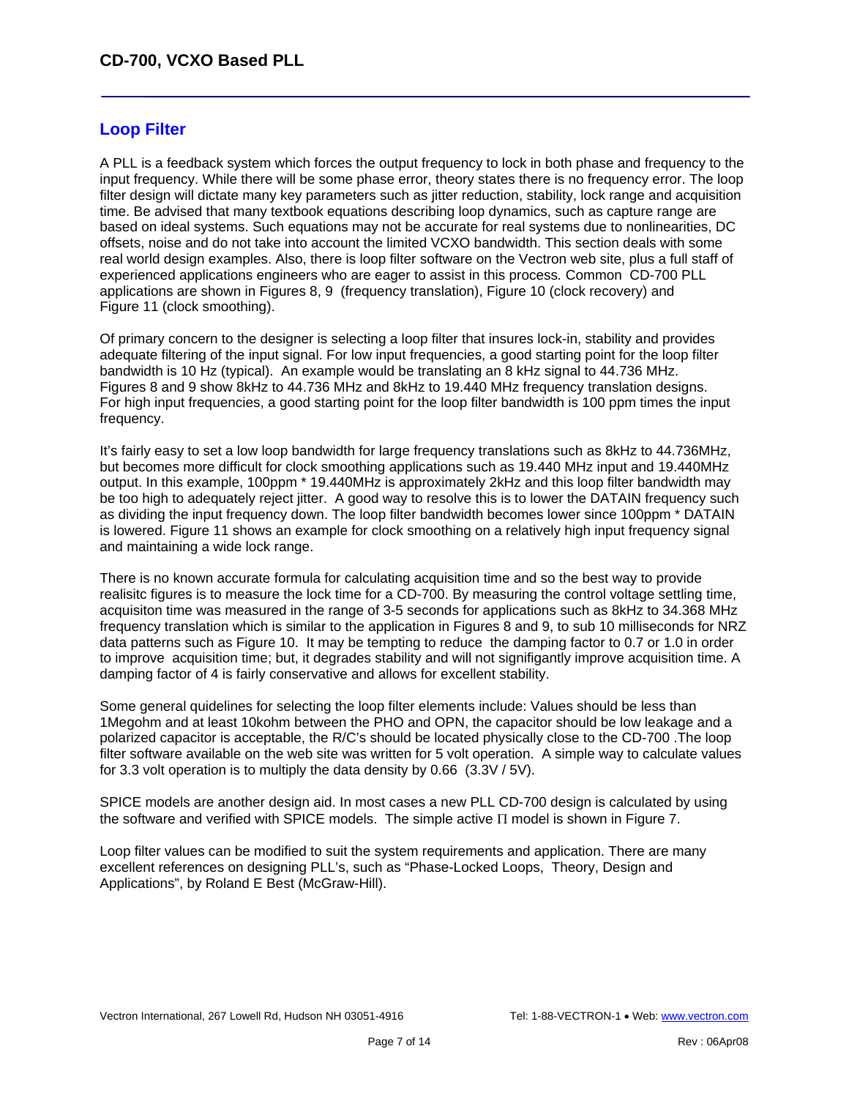#### **Loop Filter**

A PLL is a feedback system which forces the output frequency to lock in both phase and frequency to the input frequency. While there will be some phase error, theory states there is no frequency error. The loop filter design will dictate many key parameters such as jitter reduction, stability, lock range and acquisition time. Be advised that many textbook equations describing loop dynamics, such as capture range are based on ideal systems. Such equations may not be accurate for real systems due to nonlinearities, DC offsets, noise and do not take into account the limited VCXO bandwidth. This section deals with some real world design examples. Also, there is loop filter software on the Vectron web site, plus a full staff of experienced applications engineers who are eager to assist in this process*.* Common CD-700 PLL applications are shown in Figures 8, 9 (frequency translation), Figure 10 (clock recovery) and Figure 11 (clock smoothing).

Of primary concern to the designer is selecting a loop filter that insures lock-in, stability and provides adequate filtering of the input signal. For low input frequencies, a good starting point for the loop filter bandwidth is 10 Hz (typical). An example would be translating an 8 kHz signal to 44.736 MHz. Figures 8 and 9 show 8kHz to 44.736 MHz and 8kHz to 19.440 MHz frequency translation designs. For high input frequencies, a good starting point for the loop filter bandwidth is 100 ppm times the input frequency.

It's fairly easy to set a low loop bandwidth for large frequency translations such as 8kHz to 44.736MHz, but becomes more difficult for clock smoothing applications such as 19.440 MHz input and 19.440MHz output. In this example, 100ppm \* 19.440MHz is approximately 2kHz and this loop filter bandwidth may be too high to adequately reject jitter. A good way to resolve this is to lower the DATAIN frequency such as dividing the input frequency down. The loop filter bandwidth becomes lower since 100ppm \* DATAIN is lowered. Figure 11 shows an example for clock smoothing on a relatively high input frequency signal and maintaining a wide lock range.

There is no known accurate formula for calculating acquisition time and so the best way to provide realisitc figures is to measure the lock time for a CD-700. By measuring the control voltage settling time, acquisiton time was measured in the range of 3-5 seconds for applications such as 8kHz to 34.368 MHz frequency translation which is similar to the application in Figures 8 and 9, to sub 10 milliseconds for NRZ data patterns such as Figure 10. It may be tempting to reduce the damping factor to 0.7 or 1.0 in order to improve acquisition time; but, it degrades stability and will not signifigantly improve acquisition time. A damping factor of 4 is fairly conservative and allows for excellent stability.

Some general quidelines for selecting the loop filter elements include: Values should be less than 1Megohm and at least 10kohm between the PHO and OPN, the capacitor should be low leakage and a polarized capacitor is acceptable, the R/C's should be located physically close to the CD-700 .The loop filter software available on the web site was written for 5 volt operation. A simple way to calculate values for 3.3 volt operation is to multiply the data density by 0.66 (3.3V / 5V).

SPICE models are another design aid. In most cases a new PLL CD-700 design is calculated by using the software and verified with SPICE models. The simple active Π model is shown in Figure 7.

Loop filter values can be modified to suit the system requirements and application. There are many excellent references on designing PLL's, such as "Phase-Locked Loops, Theory, Design and Applications", by Roland E Best (McGraw-Hill).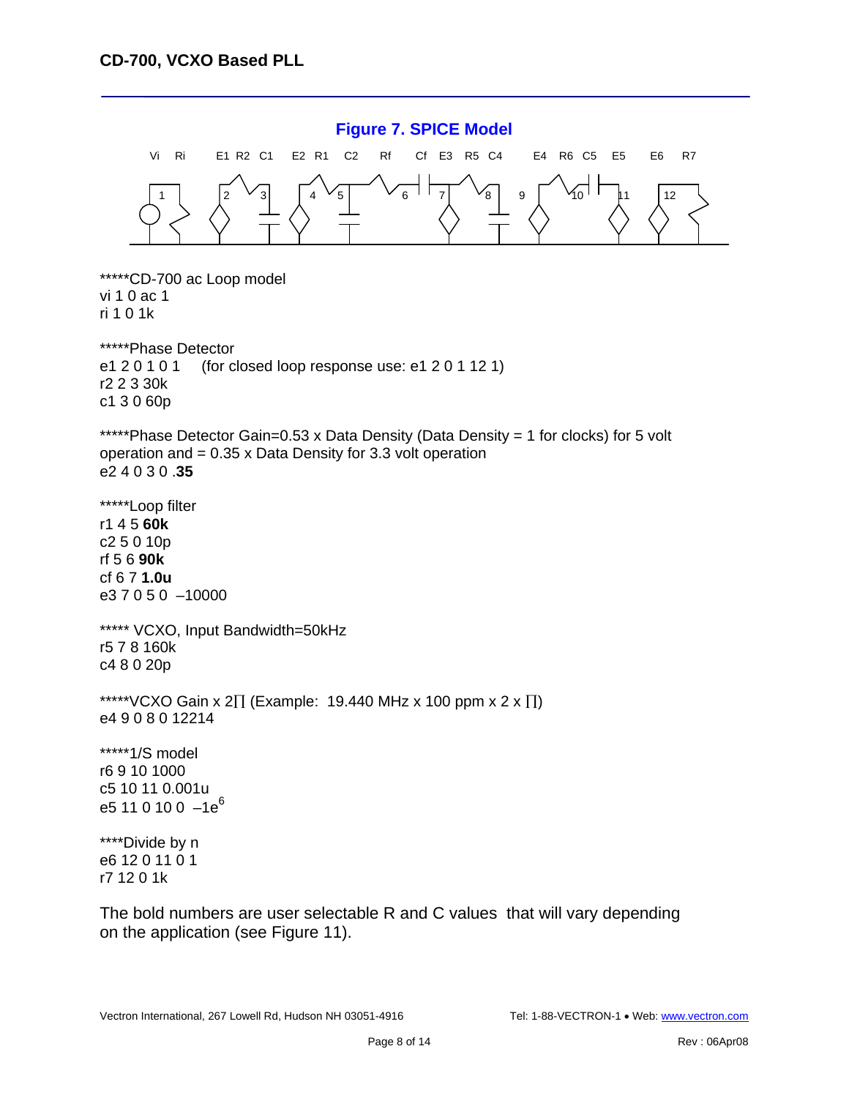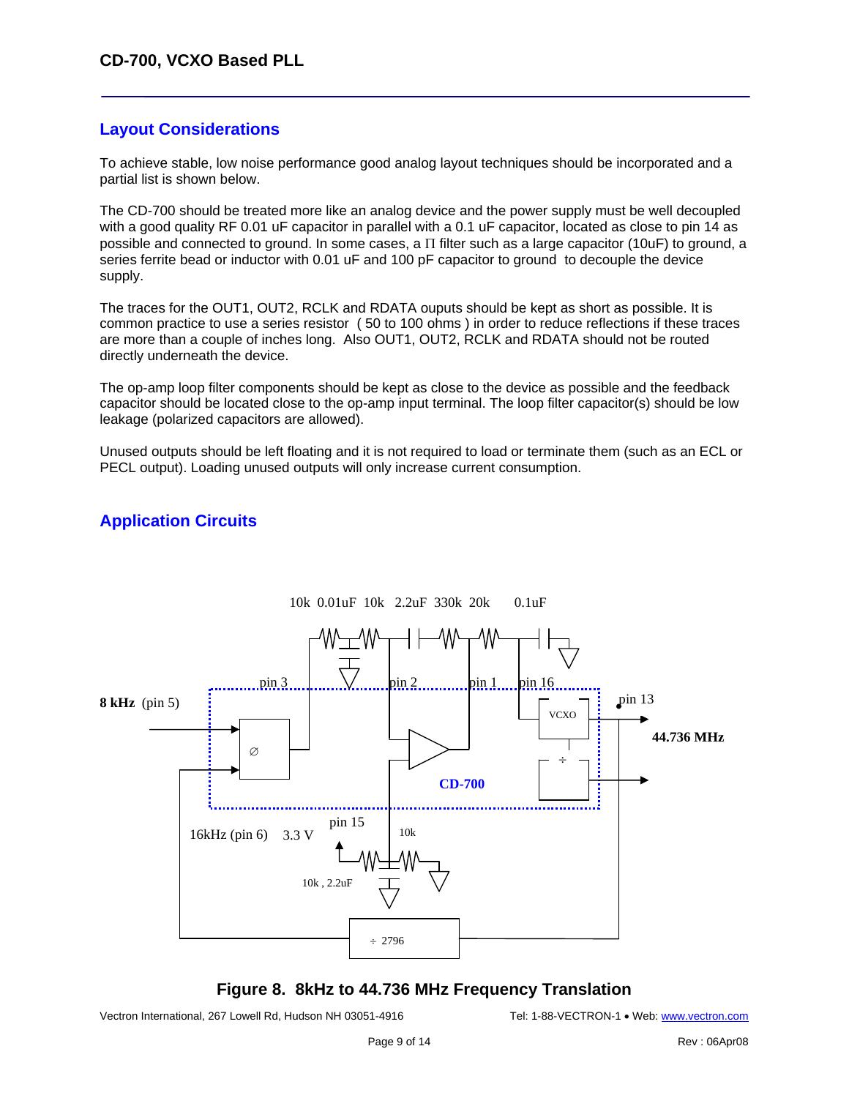#### **Layout Considerations**

To achieve stable, low noise performance good analog layout techniques should be incorporated and a partial list is shown below.

The CD-700 should be treated more like an analog device and the power supply must be well decoupled with a good quality RF 0.01 uF capacitor in parallel with a 0.1 uF capacitor, located as close to pin 14 as possible and connected to ground. In some cases, a Π filter such as a large capacitor (10uF) to ground, a series ferrite bead or inductor with 0.01 uF and 100 pF capacitor to ground to decouple the device supply.

The traces for the OUT1, OUT2, RCLK and RDATA ouputs should be kept as short as possible. It is common practice to use a series resistor ( 50 to 100 ohms ) in order to reduce reflections if these traces are more than a couple of inches long. Also OUT1, OUT2, RCLK and RDATA should not be routed directly underneath the device.

The op-amp loop filter components should be kept as close to the device as possible and the feedback capacitor should be located close to the op-amp input terminal. The loop filter capacitor(s) should be low leakage (polarized capacitors are allowed).

Unused outputs should be left floating and it is not required to load or terminate them (such as an ECL or PECL output). Loading unused outputs will only increase current consumption.

#### **Application Circuits**



#### **Figure 8. 8kHz to 44.736 MHz Frequency Translation**

Vectron International, 267 Lowell Rd, Hudson NH 03051-4916 Tel: 1-88-VECTRON-1 • Web: www.vectron.com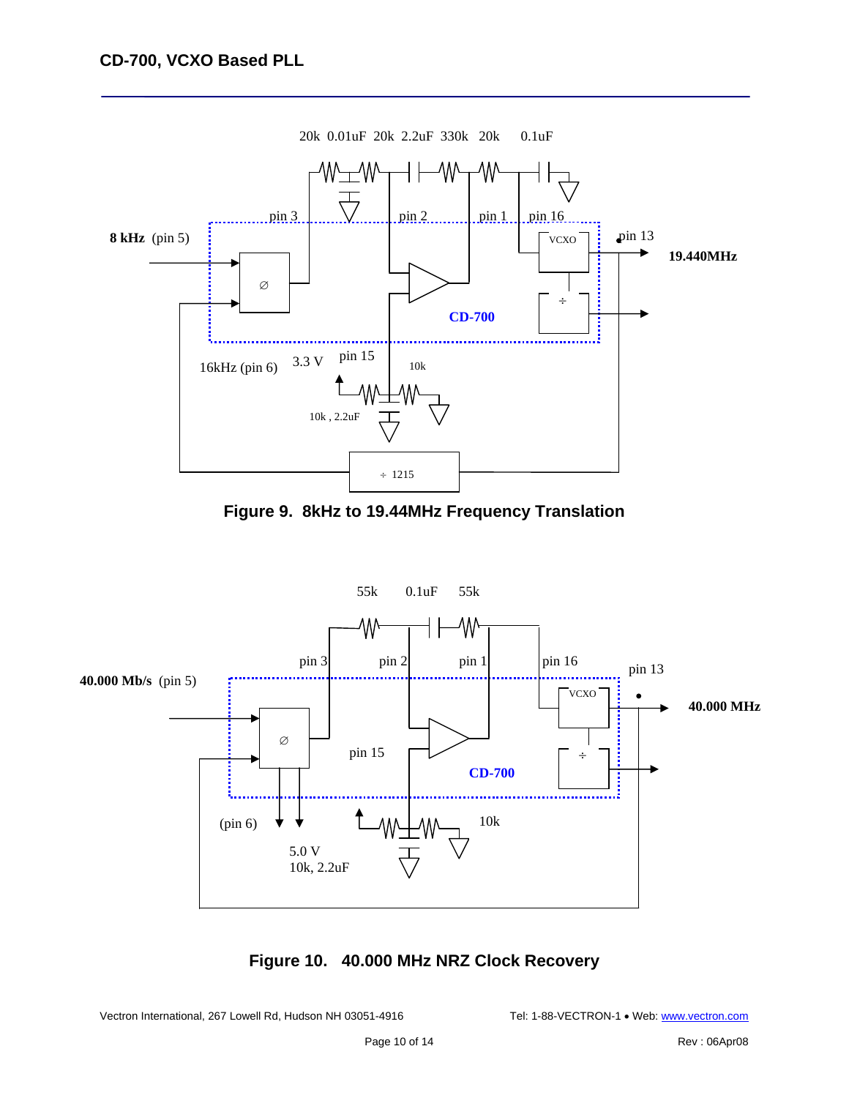

**Figure 9. 8kHz to 19.44MHz Frequency Translation**



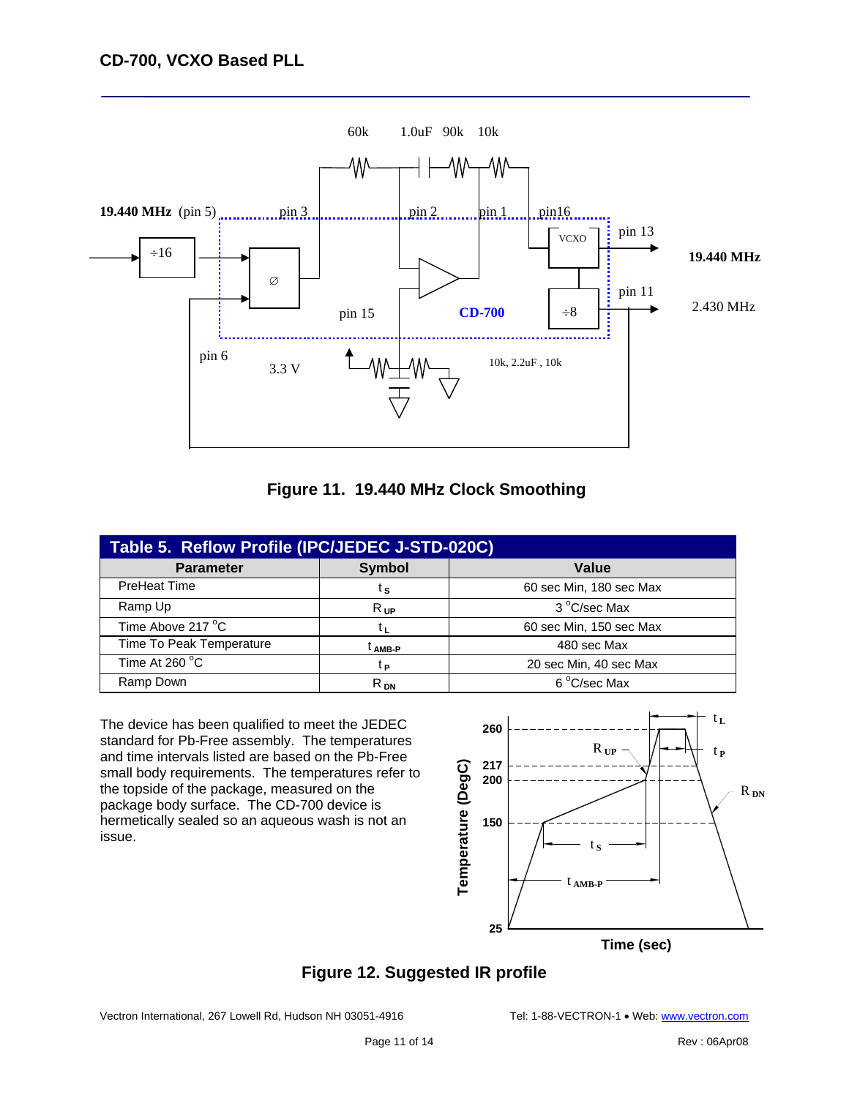



| Table 5. Reflow Profile (IPC/JEDEC J-STD-020C) |               |                         |  |  |  |  |  |
|------------------------------------------------|---------------|-------------------------|--|--|--|--|--|
| <b>Parameter</b>                               | <b>Symbol</b> | Value                   |  |  |  |  |  |
| PreHeat Time                                   | ίs            | 60 sec Min, 180 sec Max |  |  |  |  |  |
| Ramp Up                                        | $R_{UP}$      | 3 °C/sec Max            |  |  |  |  |  |
| Time Above 217 °C                              | tι            | 60 sec Min, 150 sec Max |  |  |  |  |  |
| Time To Peak Temperature                       | AMB-P         | 480 sec Max             |  |  |  |  |  |
| Time At 260 °C                                 | tр            | 20 sec Min, 40 sec Max  |  |  |  |  |  |
| Ramp Down                                      | $R_{DN}$      | 6 °C/sec Max            |  |  |  |  |  |

The device has been qualified to meet the JEDEC standard for Pb-Free assembly. The temperatures and time intervals listed are based on the Pb-Free small body requirements. The temperatures refer to the topside of the package, measured on the package body surface. The CD-700 device is hermetically sealed so an aqueous wash is not an issue.



# **Figure 12. Suggested IR profile**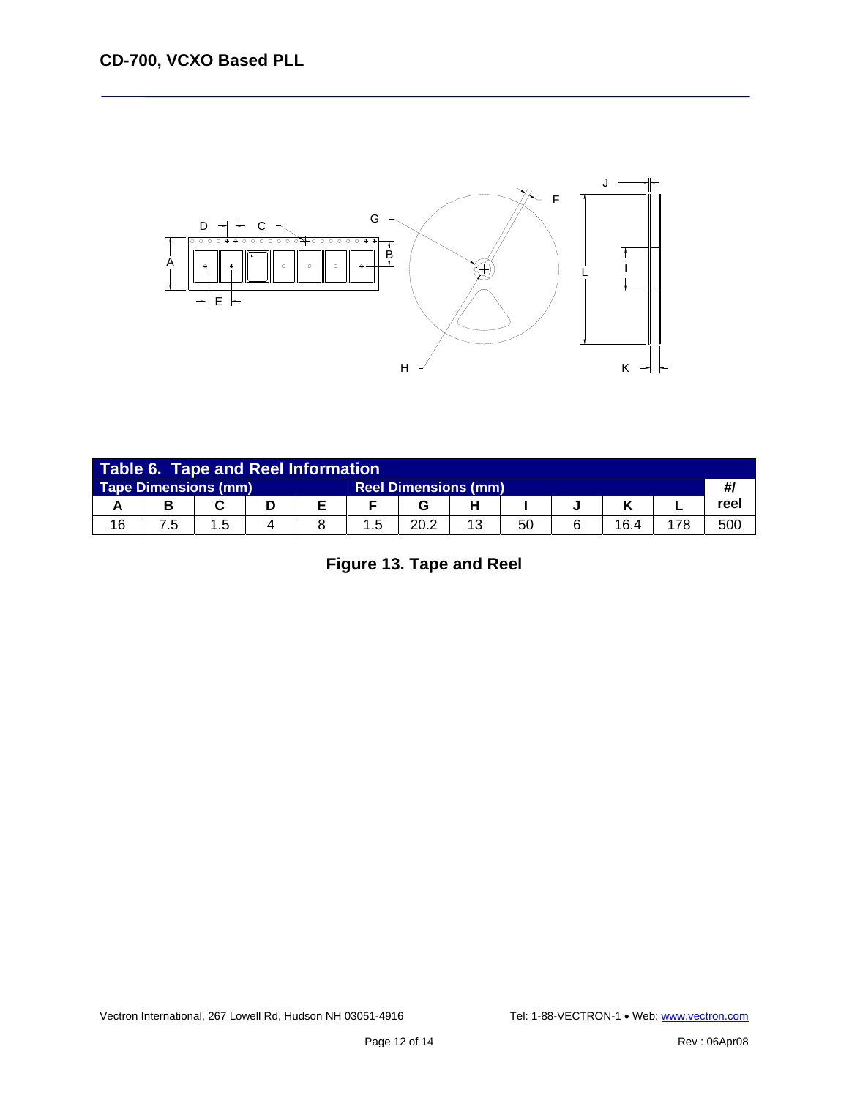

| <b>Table 6. Tape and Reel Information</b>                  |  |     |  |  |    |      |    |    |  |      |     |      |
|------------------------------------------------------------|--|-----|--|--|----|------|----|----|--|------|-----|------|
| <b>Tape Dimensions (mm)</b><br><b>Reel Dimensions (mm)</b> |  |     |  |  |    |      | #1 |    |  |      |     |      |
|                                                            |  |     |  |  |    |      |    |    |  |      |     | reel |
| 16                                                         |  | 1.5 |  |  | .5 | 20.2 |    | 50 |  | 16.4 | 178 | 500  |

**Figure 13. Tape and Reel**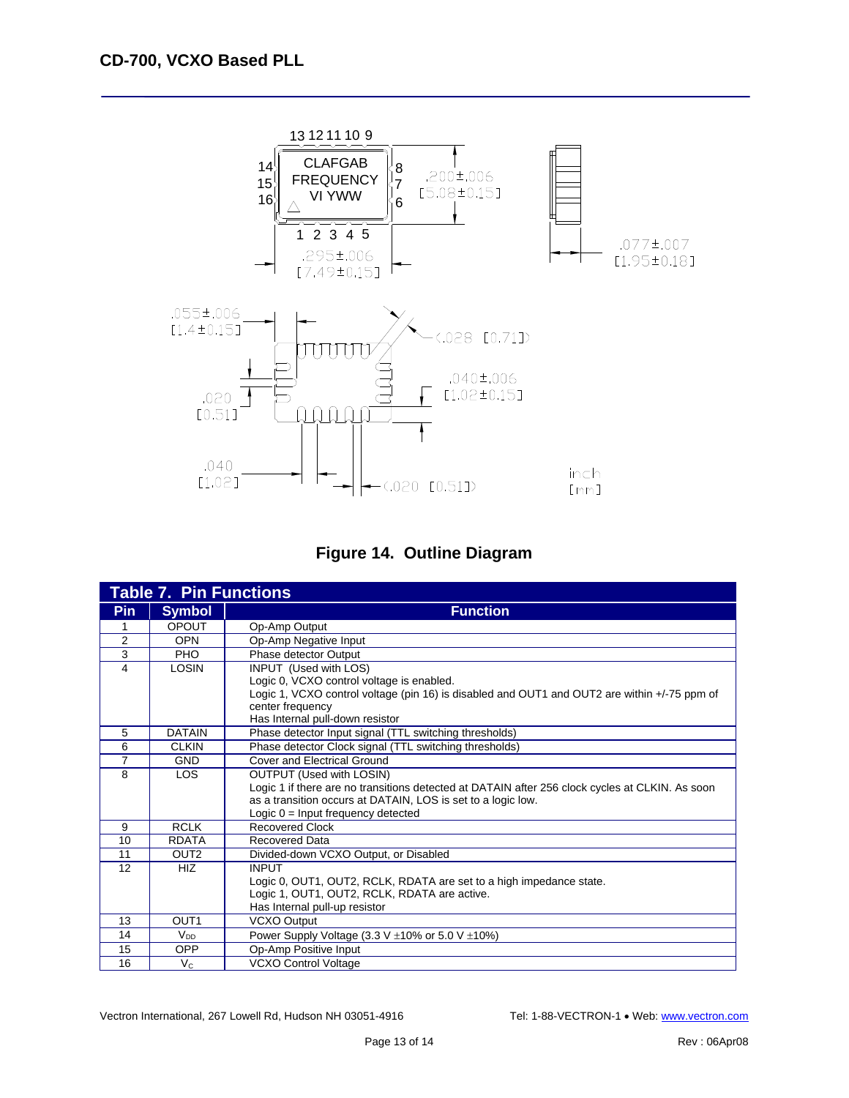



|                | <b>Table 7. Pin Functions</b> |                                                                                                 |
|----------------|-------------------------------|-------------------------------------------------------------------------------------------------|
| <b>Pin</b>     | <b>Symbol</b>                 | <b>Function</b>                                                                                 |
| 1              | <b>OPOUT</b>                  | Op-Amp Output                                                                                   |
| $\overline{2}$ | <b>OPN</b>                    | Op-Amp Negative Input                                                                           |
| 3              | <b>PHO</b>                    | Phase detector Output                                                                           |
| 4              | LOSIN                         | INPUT (Used with LOS)                                                                           |
|                |                               | Logic 0, VCXO control voltage is enabled.                                                       |
|                |                               | Logic 1, VCXO control voltage (pin 16) is disabled and OUT1 and OUT2 are within +/-75 ppm of    |
|                |                               | center frequency                                                                                |
|                |                               | Has Internal pull-down resistor                                                                 |
| 5              | <b>DATAIN</b>                 | Phase detector Input signal (TTL switching thresholds)                                          |
| 6              | <b>CLKIN</b>                  | Phase detector Clock signal (TTL switching thresholds)                                          |
| 7              | <b>GND</b>                    | Cover and Electrical Ground                                                                     |
| 8              | <b>LOS</b>                    | <b>OUTPUT (Used with LOSIN)</b>                                                                 |
|                |                               | Logic 1 if there are no transitions detected at DATAIN after 256 clock cycles at CLKIN. As soon |
|                |                               | as a transition occurs at DATAIN, LOS is set to a logic low.                                    |
|                |                               | Logic $0 =$ Input frequency detected                                                            |
| 9              | <b>RCLK</b>                   | <b>Recovered Clock</b>                                                                          |
| 10             | <b>RDATA</b>                  | <b>Recovered Data</b>                                                                           |
| 11             | OUT <sub>2</sub>              | Divided-down VCXO Output, or Disabled                                                           |
| 12             | <b>HIZ</b>                    | <b>INPUT</b>                                                                                    |
|                |                               | Logic 0, OUT1, OUT2, RCLK, RDATA are set to a high impedance state.                             |
|                |                               | Logic 1, OUT1, OUT2, RCLK, RDATA are active.                                                    |
|                |                               | Has Internal pull-up resistor                                                                   |
| 13             | OUT <sub>1</sub>              | <b>VCXO Output</b>                                                                              |
| 14             | $V_{DD}$                      | Power Supply Voltage (3.3 V $\pm$ 10% or 5.0 V $\pm$ 10%)                                       |
| 15             | <b>OPP</b>                    | Op-Amp Positive Input                                                                           |
| 16             | $V_{\rm C}$                   | <b>VCXO Control Voltage</b>                                                                     |